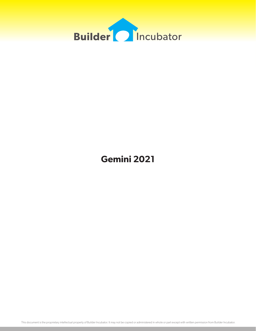

# **Gemini 2021**

This document is the proprietary intellectual property of Builder Incubator. It may not be copied or administered in whole or part except with written permission from Builder Incubator.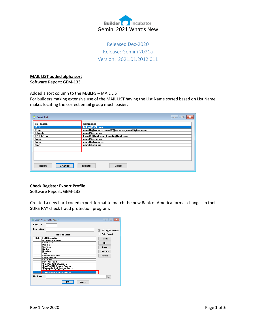

Released Dec-2020 Release: Gemini 2021a Version: 2021.01.2012.011

## **MAIL LIST added alpha sort**

Software Report: GEM-133

Added a sort column to the MAILPS – MAIL LIST

For builders making extensive use of the MAIL LIST having the List Name sorted based on List Name makes locating the correct email group much easier.

| <b>Email List</b> | E                                            |
|-------------------|----------------------------------------------|
| <b>List Name</b>  | Addresses                                    |
| <b>IABC</b>       | Mike@123.com                                 |
| !Bav              | email1@iscm.us,email2@iscm.ue,email3@iscm.ue |
| !charile          | email@iscm.us                                |
| !PSC&Son          | Email1@test.com,Email2@test.com              |
| !wan              | email@iscm.us                                |
| !wen              | email1@iscm.us                               |
| !zed              | emai@iscm.us                                 |
| Change            | <b>Delete</b>                                |
| Insert            | <b>Close</b>                                 |

# **Check Register Export Profile**

Software Report: GEM-132

Created a new hard coded export format to match the new Bank of America format changes in their SURE PAY check fraud protection program.

|                     | Export Profile will be Added                                                                   | -23<br>-- 0           |  |  |  |  |  |  |  |  |
|---------------------|------------------------------------------------------------------------------------------------|-----------------------|--|--|--|--|--|--|--|--|
| Export ID:          |                                                                                                |                       |  |  |  |  |  |  |  |  |
| <b>Description:</b> |                                                                                                | Write CSV Header<br>M |  |  |  |  |  |  |  |  |
|                     | <b>Fields to Export</b>                                                                        | <b>Auto Resort</b>    |  |  |  |  |  |  |  |  |
| Order               | <b>Field Description</b><br><b>GI Account Number</b>                                           |                       |  |  |  |  |  |  |  |  |
|                     | <b>Check Date</b><br>Post Date                                                                 | Up                    |  |  |  |  |  |  |  |  |
|                     | Chk/Dep<br>Ck Gap                                                                              | Down                  |  |  |  |  |  |  |  |  |
| Type                | <b>Received</b>                                                                                | Clear All             |  |  |  |  |  |  |  |  |
|                     | Payee/Description<br><b>Check Amount</b>                                                       | <b>Besort</b>         |  |  |  |  |  |  |  |  |
|                     | <b>Ck Source</b><br><b>Bank Account #</b>                                                      |                       |  |  |  |  |  |  |  |  |
|                     | *SurePav:Bank of America<br>*SurePay2008:Bank of America                                       |                       |  |  |  |  |  |  |  |  |
|                     | *Community Bank Positive Payee<br>Autolle Fargo Positive Pauee<br>*SurePay2020:Bank of America |                       |  |  |  |  |  |  |  |  |
| <b>File Name:</b>   |                                                                                                |                       |  |  |  |  |  |  |  |  |
|                     | ПK<br>Cancel                                                                                   |                       |  |  |  |  |  |  |  |  |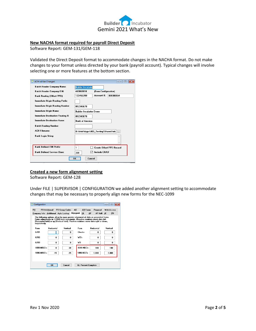

## **New NACHA format required for payroll Direct Deposit**

Software Report: GEM-131/GEM-118

Validated the Direct Deposit format to accommodate changes in the NACHA format. Do not make changes to your format unless directed by your bank (payroll account). Typical changes will involve selecting one or more features at the bottom section.

| <b>ACH will be Changed</b>         | 同<br>$\Box$                                       |
|------------------------------------|---------------------------------------------------|
| Batch Header Company Name:         | <b>Builder Incubato</b>                           |
| Batch Header Company EIN:          | 463863618<br><b>(From Configuration)</b>          |
| Bank Routing (Offset PPD):         | Account #:<br>123456789<br>000386554              |
| Immediate Origin Routing Prefix:   |                                                   |
| Immediate Origin Routing Number:   | 012345678                                         |
| Immediate Origin Name:             | <b>Builder Incubator Demo</b>                     |
| Immediate Destination Routing #:   | 012345678                                         |
| <b>Immediate Destination Name:</b> | <b>Bank of America</b>                            |
| <b>Batch Routing Number:</b>       |                                                   |
| <b>ACH Filename:</b>               | D:\Vols\Apps\003 Testing\Shared fold<br>$\ddotsc$ |
| Bank Login String:                 |                                                   |
|                                    |                                                   |
| <b>Bank Defined EIN Prefix:</b>    | 1<br><b>Create Offset PPD Record</b>              |
| <b>Bank Defined Service Class:</b> | <b>Include CR/LF</b><br>220                       |
|                                    | <b>OK</b><br>Cancel                               |

## **Created a new form alignment setting**

Software Report: GEM-128

Under FILE | SUPERVISOR | CONFIGURATION we added another alignment setting to accommodate changes that may be necessary to properly align new forms for the NEC-1099

| PO          |               | PO Additional PO Group Codes        |          | AR        | <b>AR Forms</b> |    | Proposal                                                                                                                                                                                                                                                    |          | Web Access |
|-------------|---------------|-------------------------------------|----------|-----------|-----------------|----|-------------------------------------------------------------------------------------------------------------------------------------------------------------------------------------------------------------------------------------------------------------|----------|------------|
|             |               | Company Info Additional Auto Lookup |          | Alignment | <b>GL</b>       | AP | AP Adtl                                                                                                                                                                                                                                                     | JC.      | <b>PR</b>  |
|             | respectively. |                                     |          |           |                 |    | The following options allow for more precise alignment of data on preprinted forms.<br>Enter adjustments in 1/1000 inch increments. Negative numbers move data left<br>(Horizontal field) or up [Vertical field]. Positive numbers move data right or down, |          |            |
| Form        |               | Horizontal                          | Vertical | Form      |                 |    | Horizontal                                                                                                                                                                                                                                                  | Vertical |            |
| 6701        |               | O                                   | n        |           | <b>Checks</b>   |    | n                                                                                                                                                                                                                                                           |          | n          |
| <b>G702</b> |               | $\mathbf{0}$                        | $\bf{0}$ | W2's      |                 |    | 0                                                                                                                                                                                                                                                           |          | n          |
| 6703        |               | $\mathbf{u}$                        | n        | w3        |                 |    | n                                                                                                                                                                                                                                                           |          | n          |
|             | 1099-MISC's   | 0                                   | $-30$    |           | 1099-NEC's      |    | 100                                                                                                                                                                                                                                                         |          | $-100$     |
|             | 1096-MISC's   | $-15$                               | $-25$    |           | 1096-NEC's      |    | 1.000                                                                                                                                                                                                                                                       |          | $-1.000$   |
|             |               |                                     |          |           |                 |    |                                                                                                                                                                                                                                                             |          |            |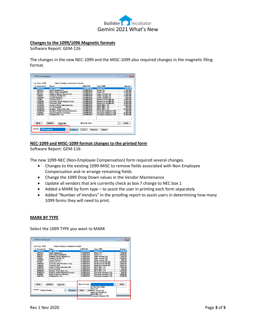

## **Changes to the 1099/1096 Magnetic formats**

Software Report: GEM-126

The changes in the new NEC-1099 and the MISC-1099 also required changes in the magnetic filing format.

| X Account #                             | Name                                                   | <b>FIN/SSN</b>                            | Type 1099                     | Amount                                               |
|-----------------------------------------|--------------------------------------------------------|-------------------------------------------|-------------------------------|------------------------------------------------------|
| <b>ARCP01</b>                           | <b>ARC Painting</b>                                    | 10-0987654                                | Rents (1)                     | 1.000 <sub>00</sub>                                  |
| APPL 01                                 | <b>Apple Appliances</b>                                | 10-0987654                                | Rents (1)                     | 1.500.00                                             |
| BRICK1                                  | <b>Bob's Brick BarnABCD</b>                            | 10-0987654                                | Rents (1)                     | 2,000.00                                             |
| <b>BUIL01</b>                           | <b>Building Blocks Masons Co.</b>                      | 10-0987654                                | Other Income (3)              | 1.500.00                                             |
| CABI01                                  | <b>Cabinets World-123</b>                              | 10-0987645                                | Other Income (3)              | 3.000.00                                             |
| CAPP01                                  | <b>Carnet Universe</b>                                 | 10-0987654                                | Other Income [3]              | 800.00                                               |
| <b>CL002</b>                            | <b>Cleaners R Us</b>                                   | 10-0987654                                | Medical & Health (6)          | 3,500.00                                             |
| <b>CONSO1</b>                           | <b>Concrete Steel Products Corp.</b>                   | 10-0987654                                | Medical & Health (6)          | 2.000.00                                             |
| CONC01                                  | <b>Concrete USA</b>                                    | 10-0987654                                | Medical & Health (6)          | 4.000.00<br>2,800.00<br>950.00<br>6,500.00<br>800.00 |
| COBK01                                  | Corkv's Slab Contractors Inc.                          | 10-0987654                                | MISC-NEC. [1]                 |                                                      |
| DDDR01                                  | D & D Drvwall                                          | 10-0987654                                | MISC-NEC. [1]                 |                                                      |
| DAND <sub>01</sub>                      | Dandy's Trim & Door Inc.                               | 10-0987654                                | MISC-NEC. [1]                 |                                                      |
| <b>DANDER</b>                           | Danny's Debris Removal Service                         | 10-0987654                                | Proceeds Attorney (10)        |                                                      |
| DAVI01                                  | <b>Davis Dumpster Services</b>                         | 10-0987654                                | Proceeds Attorney (10)        | 4,800.00                                             |
| EART01                                  | Earthmovers, Inc.                                      | 10-0987654                                | <b>Proceeds Attorney (10)</b> | 6.500.00                                             |
| <b>Mark</b><br>Action:<br>1099 Magnetic | UnMark<br><b>Clear All</b><br>Continue<br>$\checkmark$ | Mark by Type:<br>Print<br><b>Previous</b> | $\sim$<br>Cancel              | Mark                                                 |

## **NEC-1099 and MISC-1099 format changes to the printed form**

Software Report: GEM-116

The new 1099-NEC (Non-Employee Compensation) form required several changes.

- Changes to the existing 1099-MISC to remove fields associated with Non-Employee Compensation and re arrange remaining fields
- Change the 1099 Drop Down values in the Vendor Maintenance
- Update all vendors that are currently check as box 7 change to NEC box 1
- Added a MARK by form type to assist the user in printing each form separately
- Added "Number of Vendors" in the proofing report to assist users in determining how many 1099 forms they will need to print.

## **MARK BY TYPE**

Select the 1099 TYPE you want to MARK

| X Account #                             | Name                                                  | <b>FIN/SSN</b>         | <b>Type 1099</b>                                                               | Amount               |
|-----------------------------------------|-------------------------------------------------------|------------------------|--------------------------------------------------------------------------------|----------------------|
| ABCP01                                  | <b>ABC Painting</b>                                   | 10-0987654             | Rents (1)                                                                      | 1.000.00             |
| APPL01                                  | <b>Apple Appliances</b>                               | 10-0987654             | Rents [1]                                                                      | 1.500.00             |
| <b>BBICK1</b>                           | <b>Bob's Brick BarnABCD</b>                           | 10-0987654             | Rents (1)                                                                      | 2.000.00             |
| <b>BUIL01</b>                           | <b>Building Blocks Masons Co.</b>                     | 10-0987654             | Other Income (3)                                                               | 1.500.00             |
| CABI01                                  | <b>Cabinets World-123</b>                             | 10-0987645             | Other Income (3)                                                               | 3,000.00             |
| <b>CARP01</b>                           | <b>Carpet Universe</b>                                | 10-0987654             | Other Income (3)                                                               | 800.00               |
| CL002                                   | <b>Cleaners R Us</b>                                  | 10-0987654             | Medical & Health (6)                                                           | 3.500.00             |
| CONS01                                  | <b>Concrete Steel Products Corp.</b>                  | 10-0987654             | Medical & Health (6)                                                           | 2,000.00             |
| CONC01                                  | <b>Concrete USA</b>                                   | 10-0987654             | Medical & Health (6)                                                           | 4.000.00             |
| CORK01                                  | <b>Corky's Slab Contractors Inc.</b>                  | 10-0987654             | MISC-NEC. (1)                                                                  | 2.800.00             |
| DDDR01                                  | D & D Drewall                                         | 10-0987654             | MISC-NEC. [1]                                                                  | 950.00               |
| DAND01                                  | Dandy's Trim & Door Inc.                              | 10-0987654             | MISC-NEC. (1)                                                                  | 6.500.00             |
| <b>DANDEB</b>                           | <b>Danny's Debris Removal Service</b>                 | 10-0987654             | Proceeds Attorney (10)                                                         | 800.00               |
| DAVI01                                  | <b>Davis Dumoster Services</b>                        | 10-0987654             | Proceeds Attorney (10)                                                         | 4,800.00             |
| <b>FART01</b>                           | Earthmovers, Inc.                                     | 10-0987654             | Proceeds Attorney (10)                                                         | 6,500.00             |
| Mark<br>Action:<br><b>Choose Action</b> | UnMark<br><b>Clear All</b><br>Preview<br>$\checkmark$ | Mark by Type:<br>Print | Do Not Print 1099<br>Rents (1)<br>Pre Other Income [3]<br>Medical & Health (6) | Mark<br>$\checkmark$ |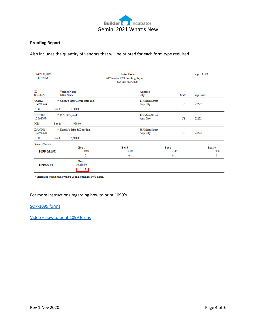

# **Proofing Report**

Also includes the quantity of vendors that will be printed for each form type required

| <b>NOV 30,2020</b><br>12:32PM |           |                                 | <b>Astor Homes</b><br>AP Vendor 1099 Proofing Report<br>for Tax Year 2020 |                             |               |              | Page: 1 of 1 |                       |
|-------------------------------|-----------|---------------------------------|---------------------------------------------------------------------------|-----------------------------|---------------|--------------|--------------|-----------------------|
| ID<br><b>SSN/EIN</b>          |           | Vendor Name<br><b>DBA</b> Name  |                                                                           | <b>Address</b><br>City      |               | <b>State</b> | Zip Code     |                       |
| CORK01<br>10-0987654          |           | * Corky's Slab Contractors Inc. |                                                                           | 175 Main Street<br>Any City |               | US           | 22222        |                       |
| <b>NEC</b>                    | $Box 1$ : | 2,800.00                        |                                                                           |                             |               |              |              |                       |
| DDDR01<br>10-0987654          |           | * D & D Drywall                 |                                                                           | 425 Main Street<br>Any City |               | US           | 22222        |                       |
| <b>NEC</b>                    | $Box 1$ : | 950.00                          |                                                                           |                             |               |              |              |                       |
| DAND01<br>10-0987654          |           | * Dandy's Trim & Door Inc.      |                                                                           | 385 Main Street<br>Any City |               | US           | 22222        |                       |
| NEC                           | $Box 1$ : | 6,500.00                        |                                                                           |                             |               |              |              |                       |
| <b>Report Totals</b>          |           |                                 |                                                                           |                             |               |              |              |                       |
| 1099-MISC                     |           | Box 1<br>0.00                   | Box 3<br>0.00                                                             |                             | Box 6<br>0.00 |              |              | <b>Box 10</b><br>0.00 |
|                               |           | 0                               | 0                                                                         |                             | 0             |              |              | 0                     |
| <b>1099-NEC</b>               |           | Box 1<br>10,250.00<br>3.        |                                                                           |                             |               |              |              |                       |

 $\hspace{0.1mm}^*$  Indicates which name will be used as primary 1099 name.

## For more instructions regarding how to print 1099's

## [SOP-1099 forms](https://builderincubator.com/images/Tax/Changes-to-the-1099-forms-2021.pdf)

Video – [how to print 1099 forms](https://builderincubator.com/support/fed-state-tax-tables.html)